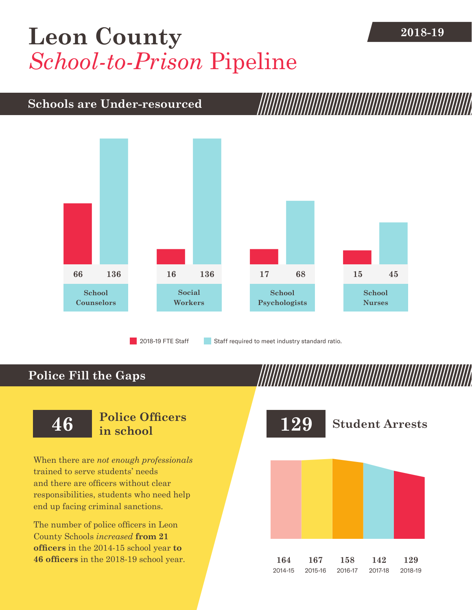## **2018-19 [Leon County](DBF_County)** *School-to-Prison* Pipeline

### **Schools are Under-resourced**



2018-19 FTE Staff **Staff required to meet industry standard ratio.** 

### **Police Fill the Gaps**

When there are *not enough professionals* trained to serve students' needs and there are officers without clear responsibilities, students who need help end up facing criminal sanctions.

The number of police officers in [Leon](DBF_County)  [County](DBF_County) Schools *increased* **from [21](DBF_PO1415)  officers** in the 2014-15 school year **to [46](DBF_PO) officers** in the 2018-19 school year.